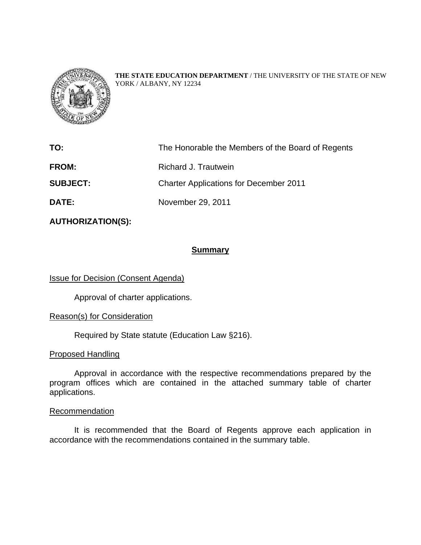

**THE STATE EDUCATION DEPARTMENT** / THE UNIVERSITY OF THE STATE OF NEW YORK / ALBANY, NY 12234

| TO:             | The Honorable the Members of the Board of Regents |
|-----------------|---------------------------------------------------|
| <b>FROM:</b>    | Richard J. Trautwein                              |
| <b>SUBJECT:</b> | <b>Charter Applications for December 2011</b>     |
| <b>DATE:</b>    | November 29, 2011                                 |

**AUTHORIZATION(S):** 

## **Summary**

Issue for Decision (Consent Agenda)

Approval of charter applications.

### Reason(s) for Consideration

Required by State statute (Education Law §216).

#### Proposed Handling

Approval in accordance with the respective recommendations prepared by the program offices which are contained in the attached summary table of charter applications.

#### Recommendation

It is recommended that the Board of Regents approve each application in accordance with the recommendations contained in the summary table.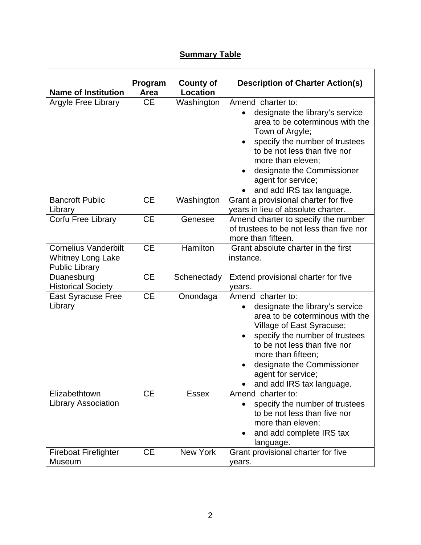# **Summary Table**

| <b>Name of Institution</b>                                                       | Program<br>Area | <b>County of</b><br>Location | <b>Description of Charter Action(s)</b>                                                                                                                                                                                                                                                         |
|----------------------------------------------------------------------------------|-----------------|------------------------------|-------------------------------------------------------------------------------------------------------------------------------------------------------------------------------------------------------------------------------------------------------------------------------------------------|
| Argyle Free Library                                                              | <b>CE</b>       | Washington                   | Amend charter to:<br>designate the library's service<br>area to be coterminous with the<br>Town of Argyle;<br>specify the number of trustees<br>to be not less than five nor<br>more than eleven;<br>designate the Commissioner<br>$\bullet$<br>agent for service;<br>and add IRS tax language. |
| <b>Bancroft Public</b><br>Library                                                | <b>CE</b>       | Washington                   | Grant a provisional charter for five<br>years in lieu of absolute charter.                                                                                                                                                                                                                      |
| Corfu Free Library                                                               | <b>CE</b>       | Genesee                      | Amend charter to specify the number<br>of trustees to be not less than five nor<br>more than fifteen.                                                                                                                                                                                           |
| <b>Cornelius Vanderbilt</b><br><b>Whitney Long Lake</b><br><b>Public Library</b> | <b>CE</b>       | Hamilton                     | Grant absolute charter in the first<br>instance.                                                                                                                                                                                                                                                |
| Duanesburg<br><b>Historical Society</b>                                          | <b>CE</b>       | Schenectady                  | Extend provisional charter for five<br>years.                                                                                                                                                                                                                                                   |
| <b>East Syracuse Free</b><br>Library                                             | <b>CE</b>       | Onondaga                     | Amend charter to:<br>designate the library's service<br>area to be coterminous with the<br>Village of East Syracuse;<br>specify the number of trustees<br>to be not less than five nor<br>more than fifteen;<br>designate the Commissioner<br>agent for service;<br>and add IRS tax language.   |
| Elizabethtown<br><b>Library Association</b>                                      | <b>CE</b>       | <b>Essex</b>                 | Amend charter to:<br>specify the number of trustees<br>to be not less than five nor<br>more than eleven;<br>and add complete IRS tax<br>language.                                                                                                                                               |
| <b>Fireboat Firefighter</b><br>Museum                                            | <b>CE</b>       | <b>New York</b>              | Grant provisional charter for five<br>years.                                                                                                                                                                                                                                                    |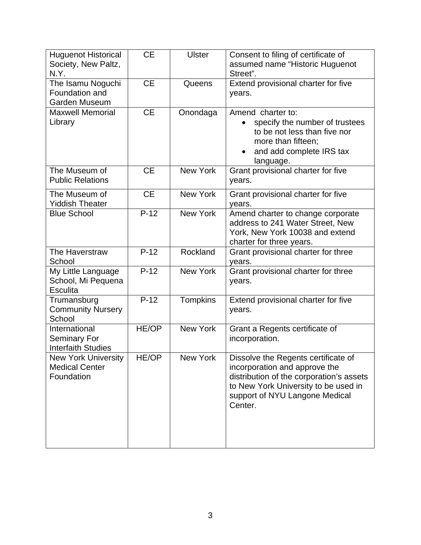| <b>Huguenot Historical</b><br>Society, New Paltz,<br>N.Y.         | <b>CE</b>    | <b>Ulster</b>   | Consent to filing of certificate of<br>assumed name "Historic Huguenot<br>Street".                                                                                                                    |
|-------------------------------------------------------------------|--------------|-----------------|-------------------------------------------------------------------------------------------------------------------------------------------------------------------------------------------------------|
| The Isamu Noguchi<br>Foundation and<br>Garden Museum              | <b>CE</b>    | Queens          | Extend provisional charter for five<br>years.                                                                                                                                                         |
| <b>Maxwell Memorial</b><br>Library                                | <b>CE</b>    | Onondaga        | Amend charter to:<br>specify the number of trustees<br>to be not less than five nor<br>more than fifteen;<br>and add complete IRS tax<br>language.                                                    |
| The Museum of<br><b>Public Relations</b>                          | <b>CE</b>    | <b>New York</b> | Grant provisional charter for five<br>years.                                                                                                                                                          |
| The Museum of<br><b>Yiddish Theater</b>                           | <b>CE</b>    | <b>New York</b> | Grant provisional charter for five<br>years.                                                                                                                                                          |
| <b>Blue School</b>                                                | $P-12$       | <b>New York</b> | Amend charter to change corporate<br>address to 241 Water Street, New<br>York, New York 10038 and extend<br>charter for three years.                                                                  |
| The Haverstraw<br>School                                          | $P-12$       | Rockland        | Grant provisional charter for three<br>years.                                                                                                                                                         |
| My Little Language<br>School, Mi Pequena<br><b>Esculita</b>       | $P-12$       | <b>New York</b> | Grant provisional charter for three<br>years.                                                                                                                                                         |
| Trumansburg<br><b>Community Nursery</b><br>School                 | $P-12$       | <b>Tompkins</b> | Extend provisional charter for five<br>years.                                                                                                                                                         |
| International<br>Seminary For<br><b>Interfaith Studies</b>        | <b>HE/OP</b> | <b>New York</b> | Grant a Regents certificate of<br>incorporation.                                                                                                                                                      |
| <b>New York University</b><br><b>Medical Center</b><br>Foundation | HE/OP        | New York        | Dissolve the Regents certificate of<br>incorporation and approve the<br>distribution of the corporation's assets<br>to New York University to be used in<br>support of NYU Langone Medical<br>Center. |